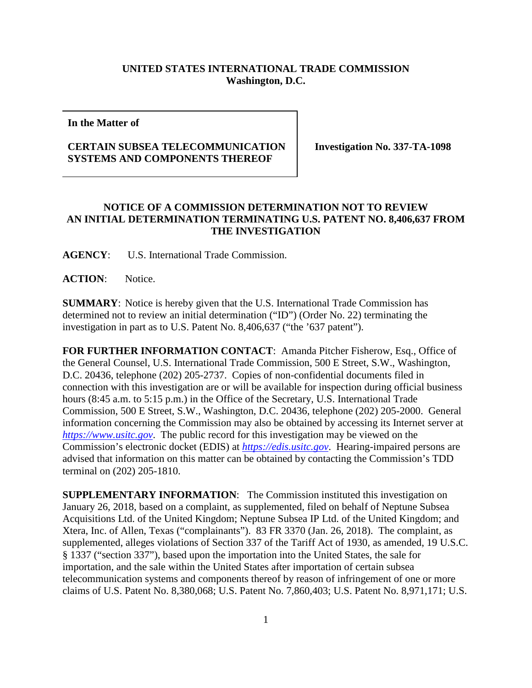## **UNITED STATES INTERNATIONAL TRADE COMMISSION Washington, D.C.**

**In the Matter of**

## **CERTAIN SUBSEA TELECOMMUNICATION SYSTEMS AND COMPONENTS THEREOF**

**Investigation No. 337-TA-1098**

## **NOTICE OF A COMMISSION DETERMINATION NOT TO REVIEW AN INITIAL DETERMINATION TERMINATING U.S. PATENT NO. 8,406,637 FROM THE INVESTIGATION**

**AGENCY**: U.S. International Trade Commission.

**ACTION**: Notice.

**SUMMARY**: Notice is hereby given that the U.S. International Trade Commission has determined not to review an initial determination ("ID") (Order No. 22) terminating the investigation in part as to U.S. Patent No. 8,406,637 ("the '637 patent").

**FOR FURTHER INFORMATION CONTACT**: Amanda Pitcher Fisherow, Esq., Office of the General Counsel, U.S. International Trade Commission, 500 E Street, S.W., Washington, D.C. 20436, telephone (202) 205-2737. Copies of non-confidential documents filed in connection with this investigation are or will be available for inspection during official business hours (8:45 a.m. to 5:15 p.m.) in the Office of the Secretary, U.S. International Trade Commission, 500 E Street, S.W., Washington, D.C. 20436, telephone (202) 205-2000. General information concerning the Commission may also be obtained by accessing its Internet server at *[https://www.usitc.gov](https://www.usitc.gov/)*. The public record for this investigation may be viewed on the Commission's electronic docket (EDIS) at *[https://edis.usitc.gov](https://edis.usitc.gov/)*. Hearing-impaired persons are advised that information on this matter can be obtained by contacting the Commission's TDD terminal on (202) 205-1810.

**SUPPLEMENTARY INFORMATION:** The Commission instituted this investigation on January 26, 2018, based on a complaint, as supplemented, filed on behalf of Neptune Subsea Acquisitions Ltd. of the United Kingdom; Neptune Subsea IP Ltd. of the United Kingdom; and Xtera, Inc. of Allen, Texas ("complainants"). 83 FR 3370 (Jan. 26, 2018). The complaint, as supplemented, alleges violations of Section 337 of the Tariff Act of 1930, as amended, 19 U.S.C. § 1337 ("section 337"), based upon the importation into the United States, the sale for importation, and the sale within the United States after importation of certain subsea telecommunication systems and components thereof by reason of infringement of one or more claims of U.S. Patent No. 8,380,068; U.S. Patent No. 7,860,403; U.S. Patent No. 8,971,171; U.S.